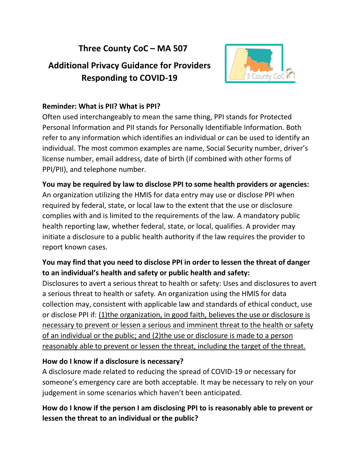## **Three County CoC – MA 507**

# **Additional Privacy Guidance for Providers Responding to COVID-19**



### **Reminder: What is PII? What is PPI?**

Often used interchangeably to mean the same thing, PPI stands for Protected Personal Information and PII stands for Personally Identifiable Information. Both refer to any information which identifies an individual or can be used to identify an individual. The most common examples are name, Social Security number, driver's license number, email address, date of birth (if combined with other forms of PPI/PII), and telephone number.

**You may be required by law to disclose PPI to some health providers or agencies:** An organization utilizing the HMIS for data entry may use or disclose PPI when required by federal, state, or local law to the extent that the use or disclosure complies with and is limited to the requirements of the law. A mandatory public health reporting law, whether federal, state, or local, qualifies. A provider may initiate a disclosure to a public health authority if the law requires the provider to report known cases.

### **You may find that you need to disclose PPI in order to lessen the threat of danger to an individual's health and safety or public health and safety:**

Disclosures to avert a serious threat to health or safety: Uses and disclosures to avert a serious threat to health or safety. An organization using the HMIS for data collection may, consistent with applicable law and standards of ethical conduct, use or disclose PPI if: (1)the organization, in good faith, believes the use or disclosure is necessary to prevent or lessen a serious and imminent threat to the health or safety of an individual or the public; and (2)the use or disclosure is made to a person reasonably able to prevent or lessen the threat, including the target of the threat.

#### **How do I know if a disclosure is necessary?**

A disclosure made related to reducing the spread of COVID-19 or necessary for someone's emergency care are both acceptable. It may be necessary to rely on your judgement in some scenarios which haven't been anticipated.

### **How do I know if the person I am disclosing PPI to is reasonably able to prevent or lessen the threat to an individual or the public?**